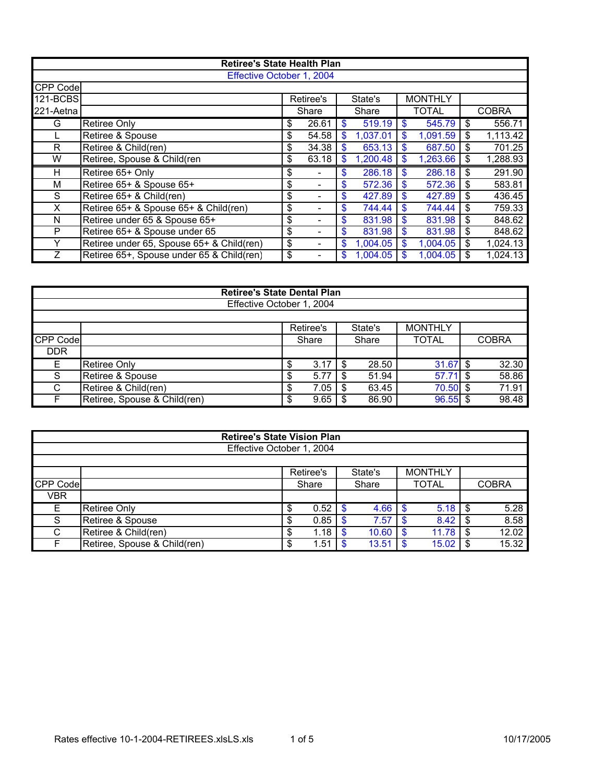| <b>Retiree's State Health Plan</b> |                                           |    |           |    |          |    |                |     |              |  |  |  |
|------------------------------------|-------------------------------------------|----|-----------|----|----------|----|----------------|-----|--------------|--|--|--|
| Effective October 1, 2004          |                                           |    |           |    |          |    |                |     |              |  |  |  |
| CPP Code                           |                                           |    |           |    |          |    |                |     |              |  |  |  |
| 121-BCBS                           |                                           |    | Retiree's |    | State's  |    | <b>MONTHLY</b> |     |              |  |  |  |
| 221-Aetna                          |                                           |    | Share     |    | Share    |    | <b>TOTAL</b>   |     | <b>COBRA</b> |  |  |  |
| G                                  | Retiree Only                              | \$ | 26.61     | S  | 519.19   | \$ | 545.79         | \$  | 556.71       |  |  |  |
|                                    | Retiree & Spouse                          | \$ | 54.58     | \$ | 1,037.01 | \$ | 1,091.59       | \$  | 1,113.42     |  |  |  |
| R.                                 | Retiree & Child(ren)                      | \$ | 34.38     | \$ | 653.13   | \$ | 687.50         | \$  | 701.25       |  |  |  |
| W                                  | Retiree, Spouse & Child(ren               | \$ | 63.18     | S  | 1,200.48 | \$ | 1,263.66       | \$  | 1,288.93     |  |  |  |
| H                                  | Retiree 65+ Only                          | \$ |           | \$ | 286.18   | \$ | 286.18         | \$  | 291.90       |  |  |  |
| М                                  | Retiree 65+ & Spouse 65+                  | \$ |           | \$ | 572.36   | \$ | 572.36         | \$  | 583.81       |  |  |  |
| S                                  | Retiree 65+ & Child(ren)                  | \$ |           | \$ | 427.89   | \$ | 427.89         | \$. | 436.45       |  |  |  |
| X.                                 | Retiree 65+ & Spouse 65+ & Child(ren)     | \$ |           | \$ | 744.44   | \$ | 744.44         | \$  | 759.33       |  |  |  |
| N                                  | Retiree under 65 & Spouse 65+             | \$ |           | \$ | 831.98   | \$ | 831.98         | \$  | 848.62       |  |  |  |
| P                                  | Retiree 65+ & Spouse under 65             | \$ |           | \$ | 831.98   | \$ | 831.98         | \$  | 848.62       |  |  |  |
| Y                                  | Retiree under 65, Spouse 65+ & Child(ren) | \$ |           | \$ | 1,004.05 | \$ | 1,004.05       | \$  | 1,024.13     |  |  |  |
| $\overline{z}$                     | Retiree 65+, Spouse under 65 & Child(ren) | \$ |           | S  | 1,004.05 |    | 1.004.05       |     | 1,024.13     |  |  |  |

|                           | <b>Retiree's State Dental Plan</b> |   |           |  |         |                |  |              |  |  |  |  |  |  |
|---------------------------|------------------------------------|---|-----------|--|---------|----------------|--|--------------|--|--|--|--|--|--|
| Effective October 1, 2004 |                                    |   |           |  |         |                |  |              |  |  |  |  |  |  |
|                           |                                    |   |           |  |         |                |  |              |  |  |  |  |  |  |
|                           |                                    |   | Retiree's |  | State's | <b>MONTHLY</b> |  |              |  |  |  |  |  |  |
| CPP Code                  |                                    |   | Share     |  | Share   | <b>TOTAL</b>   |  | <b>COBRA</b> |  |  |  |  |  |  |
| <b>DDR</b>                |                                    |   |           |  |         |                |  |              |  |  |  |  |  |  |
| Е                         | Retiree Only                       | S | 3.17      |  | 28.50   | $31.67$ \$     |  | 32.30        |  |  |  |  |  |  |
| S                         | Retiree & Spouse                   | Œ | 5.77      |  | 51.94   | $57.71$ \$     |  | 58.86        |  |  |  |  |  |  |
| C                         | Retiree & Child(ren)               | S | 7.05      |  | 63.45   | $70.50$ \$     |  | 71.91        |  |  |  |  |  |  |
|                           | Retiree, Spouse & Child(ren)       | S | 9.65      |  | 86.90   | $96.55$ \$     |  | 98.48        |  |  |  |  |  |  |

| <b>Retiree's State Vision Plan</b> |                              |    |           |   |         |  |                |      |              |  |
|------------------------------------|------------------------------|----|-----------|---|---------|--|----------------|------|--------------|--|
| Effective October 1, 2004          |                              |    |           |   |         |  |                |      |              |  |
|                                    |                              |    |           |   |         |  |                |      |              |  |
|                                    |                              |    | Retiree's |   | State's |  | <b>MONTHLY</b> |      |              |  |
| CPP Code                           |                              |    | Share     |   | Share   |  | <b>TOTAL</b>   |      | <b>COBRA</b> |  |
| VBR                                |                              |    |           |   |         |  |                |      |              |  |
|                                    | <b>Retiree Only</b>          | \$ | 0.52      | S | 4.66    |  | 5.18           | -\$  | 5.28         |  |
| S                                  | Retiree & Spouse             |    | 0.85      |   | 7.57    |  | 8.42           | \$   | 8.58         |  |
| С                                  | Retiree & Child(ren)         | S  | 1.18      | S | 10.60   |  | 11.78          | - \$ | 12.02        |  |
|                                    | Retiree, Spouse & Child(ren) | \$ | 1.51      |   | 13.51   |  | 15.02          | \$.  | 15.32        |  |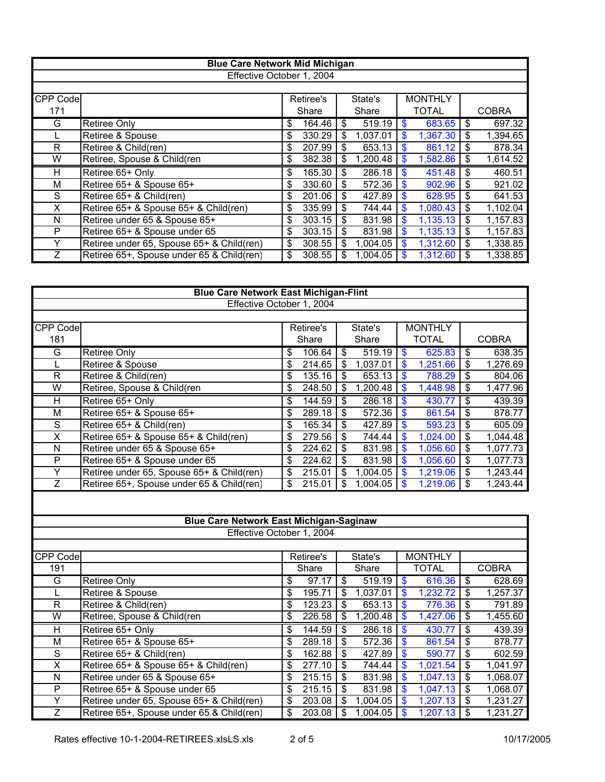| <b>Blue Care Network Mid Michigan</b> |                                           |    |           |    |          |    |                |    |              |  |  |  |
|---------------------------------------|-------------------------------------------|----|-----------|----|----------|----|----------------|----|--------------|--|--|--|
| Effective October 1, 2004             |                                           |    |           |    |          |    |                |    |              |  |  |  |
|                                       |                                           |    |           |    |          |    |                |    |              |  |  |  |
| <b>CPP Code</b>                       |                                           |    | Retiree's |    | State's  |    | <b>MONTHLY</b> |    |              |  |  |  |
| 171                                   |                                           |    | Share     |    | Share    |    | <b>TOTAL</b>   |    | <b>COBRA</b> |  |  |  |
| G                                     | Retiree Only                              | \$ | 164.46    | \$ | 519.19   | \$ | 683.65         | \$ | 697.32       |  |  |  |
|                                       | Retiree & Spouse                          | \$ | 330.29    | \$ | 1,037.01 | \$ | 1,367.30       | \$ | 1,394.65     |  |  |  |
| R                                     | Retiree & Child(ren)                      | \$ | 207.99    | \$ | 653.13   | \$ | 861.12         | \$ | 878.34       |  |  |  |
| W                                     | Retiree, Spouse & Child(ren               | \$ | 382.38    | \$ | 1,200.48 | \$ | 1,582.86       | \$ | 1,614.52     |  |  |  |
| H                                     | Retiree 65+ Only                          | \$ | 165.30    | \$ | 286.18   | \$ | 451.48         | \$ | 460.51       |  |  |  |
| М                                     | Retiree 65+ & Spouse 65+                  | \$ | 330.60    | \$ | 572.36   | \$ | 902.96         | \$ | 921.02       |  |  |  |
| S                                     | Retiree 65+ & Child(ren)                  | \$ | 201.06    | \$ | 427.89   | \$ | 628.95         | \$ | 641.53       |  |  |  |
| X                                     | Retiree 65+ & Spouse 65+ & Child(ren)     | \$ | 335.99    | \$ | 744.44   | \$ | 1,080.43       | \$ | 1,102.04     |  |  |  |
| N                                     | Retiree under 65 & Spouse 65+             | \$ | 303.15    | \$ | 831.98   | \$ | 1,135.13       | \$ | 1,157.83     |  |  |  |
| P                                     | Retiree 65+ & Spouse under 65             | \$ | 303.15    | \$ | 831.98   | \$ | 1,135.13       | \$ | 1,157.83     |  |  |  |
|                                       | Retiree under 65, Spouse 65+ & Child(ren) | \$ | 308.55    | \$ | 1,004.05 | \$ | 1,312.60       | \$ | 1,338.85     |  |  |  |
|                                       | Retiree 65+, Spouse under 65 & Child(ren) | \$ | 308.55    | S  | 1,004.05 | \$ | 1,312.60       | \$ | 1,338.85     |  |  |  |

| <b>Blue Care Network East Michigan-Flint</b> |                                                                        |                                      |           |                          |          |                           |                |                                      |                       |  |  |  |  |  |
|----------------------------------------------|------------------------------------------------------------------------|--------------------------------------|-----------|--------------------------|----------|---------------------------|----------------|--------------------------------------|-----------------------|--|--|--|--|--|
|                                              | Effective October 1, 2004                                              |                                      |           |                          |          |                           |                |                                      |                       |  |  |  |  |  |
|                                              |                                                                        |                                      |           |                          |          |                           |                |                                      |                       |  |  |  |  |  |
| CPP Code                                     |                                                                        |                                      | Retiree's |                          | State's  |                           | <b>MONTHLY</b> |                                      |                       |  |  |  |  |  |
| 181                                          |                                                                        |                                      | Share     |                          | Share    |                           | <b>TOTAL</b>   |                                      | <b>COBRA</b>          |  |  |  |  |  |
| G                                            | <b>Retiree Only</b>                                                    | \$                                   | 106.64    | $\overline{\mathbb{S}}$  | 519.19   | $\boldsymbol{\mathsf{s}}$ | 625.83         | \$                                   | 638.35                |  |  |  |  |  |
| L                                            | Retiree & Spouse                                                       | \$                                   | 214.65    | $\mathfrak{S}$           | 1,037.01 | $\boldsymbol{\$}$         | 1,251.66       | \$                                   | 1,276.69              |  |  |  |  |  |
| $\overline{\mathsf{R}}$                      | Retiree & Child(ren)                                                   | \$                                   | 135.16    | $\mathfrak{S}$           | 653.13   | $\mathbf{\$}$             | 788.29         | \$                                   | 804.06                |  |  |  |  |  |
| $\overline{\mathsf{W}}$                      | Retiree, Spouse & Child(ren                                            | \$                                   | 248.50    | \$                       | 1,200.48 | $\boldsymbol{\$}$         | 1,448.98       | \$                                   | 1,477.96              |  |  |  |  |  |
| Н                                            | Retiree 65+ Only                                                       | \$                                   | 144.59    | \$                       | 286.18   | \$                        | 430.77         | \$                                   | 439.39                |  |  |  |  |  |
| $\overline{M}$                               | Retiree 65+ & Spouse 65+                                               | \$                                   | 289.18    | $\overline{\mathbf{S}}$  | 572.36   | $\overline{\mathsf{s}}$   | 861.54         | $\overline{\boldsymbol{\mathsf{S}}}$ | 878.77                |  |  |  |  |  |
| $\overline{s}$                               | Retiree 65+ & Child(ren)                                               | $\overline{\$}$                      | 165.34    | \$                       | 427.89   | $\overline{\mathsf{s}}$   | 593.23         | $\overline{\boldsymbol{\mathsf{S}}}$ | 605.09                |  |  |  |  |  |
| $\overline{\mathsf{x}}$                      | Retiree 65+ & Spouse 65+ & Child(ren)                                  | $\overline{\$}$                      | 279.56    | \$                       | 744.44   | $\bullet$                 | 1,024.00       | $\overline{\mathcal{S}}$             | 1,044.48              |  |  |  |  |  |
| $\overline{\mathsf{N}}$                      | Retiree under 65 & Spouse 65+                                          | \$                                   | 224.62    | \$                       | 831.98   | $\boldsymbol{\theta}$     | 1,056.60       | $\overline{\boldsymbol{\theta}}$     | 1,077.73              |  |  |  |  |  |
| $\overline{\mathsf{P}}$                      | Retiree 65+ & Spouse under 65                                          | $\overline{\boldsymbol{\theta}}$     | 224.62    | $\overline{\mathbf{s}}$  | 831.98   | \$                        | 1,056.60       | $\overline{\$}$                      | $\overline{1,}077.73$ |  |  |  |  |  |
| Ÿ                                            | Retiree under 65, Spouse 65+ & Child(ren)                              | \$                                   | 215.01    | \$                       | 1,004.05 | \$                        | 1,219.06       | \$                                   | 1,243.44              |  |  |  |  |  |
| $\overline{Z}$                               | Retiree 65+, Spouse under 65 & Child(ren)                              | $\overline{\boldsymbol{\mathsf{s}}}$ | 215.01    | \$                       | 1,004.05 | $\mathbf{s}$              | 1,219.06       | $\boldsymbol{\mathsf{S}}$            | 1,243.44              |  |  |  |  |  |
|                                              |                                                                        |                                      |           |                          |          |                           |                |                                      |                       |  |  |  |  |  |
|                                              |                                                                        |                                      |           |                          |          |                           |                |                                      |                       |  |  |  |  |  |
|                                              |                                                                        |                                      |           |                          |          |                           |                |                                      |                       |  |  |  |  |  |
|                                              | <b>Blue Care Network East Michigan-Saginaw</b>                         |                                      |           |                          |          |                           |                |                                      |                       |  |  |  |  |  |
|                                              | Effective October 1, 2004                                              |                                      |           |                          |          |                           |                |                                      |                       |  |  |  |  |  |
|                                              |                                                                        |                                      |           |                          |          |                           |                |                                      |                       |  |  |  |  |  |
| CPP Code                                     |                                                                        |                                      | Retiree's |                          | State's  |                           | <b>MONTHLY</b> |                                      |                       |  |  |  |  |  |
| 191                                          |                                                                        |                                      | Share     |                          | Share    |                           | <b>TOTAL</b>   |                                      | <b>COBRA</b>          |  |  |  |  |  |
| G                                            | <b>Retiree Only</b>                                                    | \$                                   | 97.17     | $\overline{\$}$          | 519.19   | $\sqrt[6]{3}$             | 616.36         | $\overline{\$}$                      | 628.69                |  |  |  |  |  |
| L                                            | Retiree & Spouse                                                       | $\overline{\$}$                      | 195.71    | $\overline{\mathbf{s}}$  | 1,037.01 | \$                        | 1,232.72       | \$                                   | 1,257.37              |  |  |  |  |  |
| $\overline{R}$                               | Retiree & Child(ren)                                                   | $\overline{\$}$                      | 123.23    | $\overline{\mathbb{S}}$  | 653.13   | $\boldsymbol{\$}$         | 776.36         | $\overline{\$}$                      | 791.89                |  |  |  |  |  |
| $\overline{\mathsf{W}}$                      | Retiree, Spouse & Child(ren                                            | $\overline{\$}$                      | 226.58    | \$                       | 1,200.48 | $\bullet$                 | 1,427.06       | $\overline{\mathbf{3}}$              | 1,455.60              |  |  |  |  |  |
| $\overline{H}$                               | Retiree 65+ Only                                                       | \$                                   | 144.59    | \$                       | 286.18   | \$                        | 430.77         | $\overline{\boldsymbol{\theta}}$     | 439.39                |  |  |  |  |  |
| $\overline{M}$                               | Retiree 65+ & Spouse 65+                                               | \$                                   | 289.18    | \$                       | 572.36   | $\overline{\mathsf{s}}$   | 861.54         | \$                                   | 878.77                |  |  |  |  |  |
| $\overline{s}$                               | Retiree 65+ & Child(ren)                                               | \$                                   | 162.88    | \$                       | 427.89   | \$                        | 590.77         | \$                                   | 602.59                |  |  |  |  |  |
| $\overline{\mathsf{x}}$                      |                                                                        | \$                                   | 277.10    | $\overline{\mathbf{s}}$  | 744.44   | $\bullet$                 | 1,021.54       | $\overline{\mathbf{s}}$              | 1,041.97              |  |  |  |  |  |
| $\overline{\mathsf{N}}$                      | Retiree 65+ & Spouse 65+ & Child(ren)<br>Retiree under 65 & Spouse 65+ | $\overline{\boldsymbol{\mathsf{S}}}$ | 215.15    | $\overline{\mathcal{S}}$ | 831.98   | $\overline{\mathsf{s}}$   | 1,047.13       | $\overline{\mathcal{S}}$             |                       |  |  |  |  |  |
| $\overline{\mathsf{P}}$                      | Retiree 65+ & Spouse under 65                                          | \$                                   | 215.15    | \$                       | 831.98   | $\mathbf{\hat{s}}$        | 1,047.13       | \$                                   | 1,068.07<br>1,068.07  |  |  |  |  |  |
| Ÿ                                            | Retiree under 65, Spouse 65+ & Child(ren)                              | \$                                   | 203.08    | $\mathbf{\$}$            | 1,004.05 | $\mathbf{s}$              | 1,207.13       | \$                                   | 1,231.27              |  |  |  |  |  |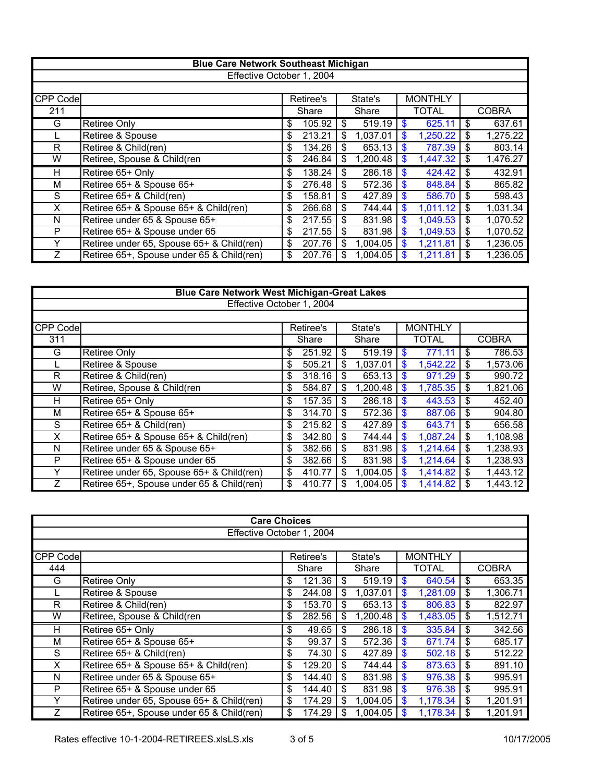|                           | <b>Blue Care Network Southeast Michigan</b> |    |           |    |          |               |                |    |              |  |  |  |
|---------------------------|---------------------------------------------|----|-----------|----|----------|---------------|----------------|----|--------------|--|--|--|
| Effective October 1, 2004 |                                             |    |           |    |          |               |                |    |              |  |  |  |
|                           |                                             |    |           |    |          |               |                |    |              |  |  |  |
| <b>CPP Code</b>           |                                             |    | Retiree's |    | State's  |               | <b>MONTHLY</b> |    |              |  |  |  |
| 211                       |                                             |    | Share     |    | Share    |               | <b>TOTAL</b>   |    | <b>COBRA</b> |  |  |  |
| G                         | Retiree Only                                | \$ | 105.92    | \$ | 519.19   | \$            | 625.11         | \$ | 637.61       |  |  |  |
|                           | Retiree & Spouse                            | \$ | 213.21    | \$ | 1,037.01 | \$            | 1,250.22       | \$ | 1,275.22     |  |  |  |
| R                         | Retiree & Child(ren)                        | \$ | 134.26    | \$ | 653.13   | \$            | 787.39         | \$ | 803.14       |  |  |  |
| W                         | Retiree, Spouse & Child(ren                 | \$ | 246.84    | \$ | 1,200.48 | \$            | 1,447.32       | \$ | 1,476.27     |  |  |  |
| H                         | Retiree 65+ Only                            | \$ | 138.24    | \$ | 286.18   | \$            | 424.42         | \$ | 432.91       |  |  |  |
| М                         | Retiree 65+ & Spouse 65+                    | \$ | 276.48    | \$ | 572.36   | \$            | 848.84         | \$ | 865.82       |  |  |  |
| S                         | Retiree 65+ & Child(ren)                    | \$ | 158.81    | \$ | 427.89   | \$            | 586.70         | \$ | 598.43       |  |  |  |
| X                         | Retiree 65+ & Spouse 65+ & Child(ren)       | \$ | 266.68    | \$ | 744.44   | $\mathbf{\$}$ | 1,011.12       | \$ | 1,031.34     |  |  |  |
| N                         | Retiree under 65 & Spouse 65+               | \$ | 217.55    | \$ | 831.98   | \$            | 1,049.53       | \$ | 1,070.52     |  |  |  |
| P                         | Retiree 65+ & Spouse under 65               | \$ | 217.55    | \$ | 831.98   | \$            | 1,049.53       | \$ | 1,070.52     |  |  |  |
| Y                         | Retiree under 65, Spouse 65+ & Child(ren)   | \$ | 207.76    | \$ | 1,004.05 | \$            | 1,211.81       | \$ | 1,236.05     |  |  |  |
|                           | Retiree 65+, Spouse under 65 & Child(ren)   | \$ | 207.76    | S  | 1,004.05 | S             | 1,211.81       | \$ | 1,236.05     |  |  |  |

| <b>Blue Care Network West Michigan-Great Lakes</b> |                                           |    |           |    |          |              |                |    |              |  |  |  |
|----------------------------------------------------|-------------------------------------------|----|-----------|----|----------|--------------|----------------|----|--------------|--|--|--|
| Effective October 1, 2004                          |                                           |    |           |    |          |              |                |    |              |  |  |  |
|                                                    |                                           |    |           |    |          |              |                |    |              |  |  |  |
| <b>CPP Code</b>                                    |                                           |    | Retiree's |    | State's  |              | <b>MONTHLY</b> |    |              |  |  |  |
| 311                                                |                                           |    | Share     |    | Share    |              | <b>TOTAL</b>   |    | <b>COBRA</b> |  |  |  |
| G                                                  | Retiree Only                              | \$ | 251.92    | \$ | 519.19   | \$           | 771.11         | \$ | 786.53       |  |  |  |
|                                                    | Retiree & Spouse                          | \$ | 505.21    | \$ | 1,037.01 | \$           | 1,542.22       | \$ | 1,573.06     |  |  |  |
| R                                                  | Retiree & Child(ren)                      | \$ | 318.16    | \$ | 653.13   | \$           | 971.29         | \$ | 990.72       |  |  |  |
| W                                                  | Retiree, Spouse & Child(ren               | \$ | 584.87    | \$ | 1,200.48 | \$           | 1,785.35       | \$ | 1,821.06     |  |  |  |
| H                                                  | Retiree 65+ Only                          | \$ | 157.35    | \$ | 286.18   | $\mathbf{s}$ | 443.53         | \$ | 452.40       |  |  |  |
| М                                                  | Retiree 65+ & Spouse 65+                  | \$ | 314.70    | \$ | 572.36   | \$           | 887.06         | \$ | 904.80       |  |  |  |
| S                                                  | Retiree 65+ & Child(ren)                  | \$ | 215.82    | \$ | 427.89   | \$           | 643.71         | \$ | 656.58       |  |  |  |
| X.                                                 | Retiree 65+ & Spouse 65+ & Child(ren)     | \$ | 342.80    | \$ | 744.44   | $\mathbf{s}$ | 1,087.24       | \$ | 1,108.98     |  |  |  |
| N                                                  | Retiree under 65 & Spouse 65+             | \$ | 382.66    | \$ | 831.98   | \$           | 1,214.64       | \$ | 1,238.93     |  |  |  |
| P                                                  | Retiree 65+ & Spouse under 65             | \$ | 382.66    | \$ | 831.98   | \$           | 1,214.64       | \$ | 1,238.93     |  |  |  |
| Y                                                  | Retiree under 65, Spouse 65+ & Child(ren) | \$ | 410.77    | \$ | 1,004.05 | $\mathbf{s}$ | 1,414.82       | \$ | 1,443.12     |  |  |  |
| $\overline{z}$                                     | Retiree 65+, Spouse under 65 & Child(ren) | \$ | 410.77    | \$ | 1,004.05 |              | 1,414.82       | \$ | 1,443.12     |  |  |  |

| <b>Care Choices</b>       |                                           |    |           |     |          |    |                |    |              |  |  |  |
|---------------------------|-------------------------------------------|----|-----------|-----|----------|----|----------------|----|--------------|--|--|--|
| Effective October 1, 2004 |                                           |    |           |     |          |    |                |    |              |  |  |  |
|                           |                                           |    |           |     |          |    |                |    |              |  |  |  |
| CPP Code                  |                                           |    | Retiree's |     | State's  |    | <b>MONTHLY</b> |    |              |  |  |  |
| 444                       |                                           |    | Share     |     | Share    |    | <b>TOTAL</b>   |    | <b>COBRA</b> |  |  |  |
| G                         | <b>Retiree Only</b>                       | \$ | 121.36    | \$  | 519.19   | \$ | 640.54         | \$ | 653.35       |  |  |  |
|                           | Retiree & Spouse                          | \$ | 244.08    | \$  | 1,037.01 | \$ | 1,281.09       | \$ | 1,306.71     |  |  |  |
| R                         | Retiree & Child(ren)                      | \$ | 153.70    | \$  | 653.13   | \$ | 806.83         |    | 822.97       |  |  |  |
| W                         | Retiree, Spouse & Child(ren               | \$ | 282.56    | \$  | 1,200.48 | \$ | 1,483.05       | \$ | 1,512.71     |  |  |  |
| н                         | Retiree 65+ Only                          | \$ | 49.65     | \$  | 286.18   | \$ | 335.84         | \$ | 342.56       |  |  |  |
| M                         | Retiree 65+ & Spouse 65+                  | \$ | 99.37     | \$  | 572.36   | \$ | 671.74         | \$ | 685.17       |  |  |  |
| S                         | Retiree 65+ & Child(ren)                  | \$ | 74.30     | \$  | 427.89   | \$ | 502.18         | \$ | 512.22       |  |  |  |
| X                         | Retiree 65+ & Spouse 65+ & Child(ren)     | \$ | 129.20    | \$  | 744.44   | \$ | 873.63         | \$ | 891.10       |  |  |  |
| N                         | Retiree under 65 & Spouse 65+             | \$ | 144.40    | \$  | 831.98   | \$ | 976.38         | \$ | 995.91       |  |  |  |
| P                         | Retiree 65+ & Spouse under 65             | \$ | 144.40    | \$  | 831.98   | \$ | 976.38         | \$ | 995.91       |  |  |  |
|                           | Retiree under 65, Spouse 65+ & Child(ren) | \$ | 174.29    | \$  | 1,004.05 | \$ | 1,178.34       | \$ | 1,201.91     |  |  |  |
|                           | Retiree 65+, Spouse under 65 & Child(ren) | \$ | 174.29    | \$. | 1.004.05 | \$ | 1,178.34       | S  | 1,201.91     |  |  |  |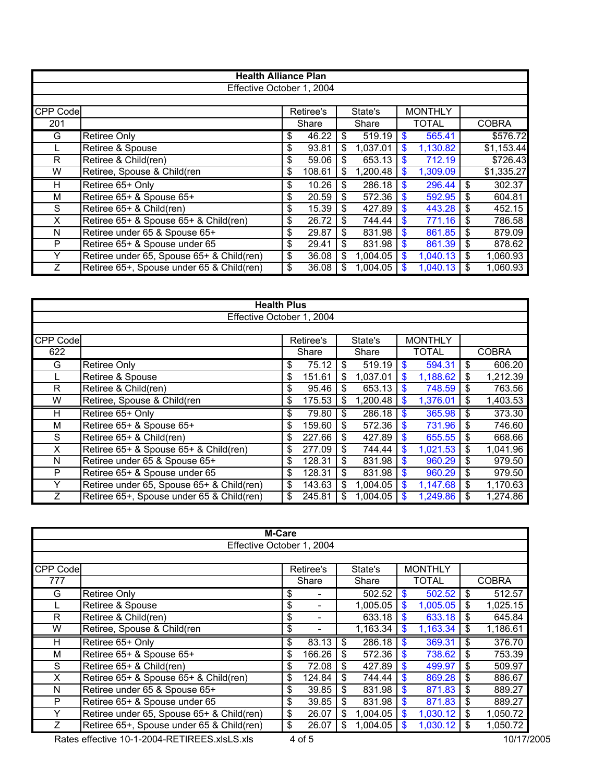|                           | <b>Health Alliance Plan</b>               |    |           |    |          |    |                |    |              |  |  |  |
|---------------------------|-------------------------------------------|----|-----------|----|----------|----|----------------|----|--------------|--|--|--|
| Effective October 1, 2004 |                                           |    |           |    |          |    |                |    |              |  |  |  |
|                           |                                           |    |           |    |          |    |                |    |              |  |  |  |
| CPP Code                  |                                           |    | Retiree's |    | State's  |    | <b>MONTHLY</b> |    |              |  |  |  |
| 201                       |                                           |    | Share     |    | Share    |    | <b>TOTAL</b>   |    | <b>COBRA</b> |  |  |  |
| G                         | Retiree Only                              | \$ | 46.22     | \$ | 519.19   | \$ | 565.41         |    | \$576.72     |  |  |  |
|                           | Retiree & Spouse                          | \$ | 93.81     | \$ | 1,037.01 | \$ | 1,130.82       |    | \$1,153.44   |  |  |  |
| R.                        | Retiree & Child(ren)                      | \$ | 59.06     | \$ | 653.13   |    | 712.19         |    | \$726.43     |  |  |  |
| W                         | Retiree, Spouse & Child(ren               | \$ | 108.61    | \$ | 1,200.48 | \$ | 1,309.09       |    | \$1,335.27   |  |  |  |
| H                         | Retiree 65+ Only                          | \$ | 10.26     | \$ | 286.18   | \$ | 296.44         | \$ | 302.37       |  |  |  |
| м                         | Retiree 65+ & Spouse 65+                  | \$ | 20.59     | \$ | 572.36   | \$ | 592.95         | \$ | 604.81       |  |  |  |
| S                         | Retiree 65+ & Child(ren)                  | \$ | 15.39     | \$ | 427.89   | \$ | 443.28         | \$ | 452.15       |  |  |  |
| X.                        | Retiree 65+ & Spouse 65+ & Child(ren)     | \$ | 26.72     | \$ | 744.44   | \$ | 771.16         | \$ | 786.58       |  |  |  |
| N                         | Retiree under 65 & Spouse 65+             | \$ | 29.87     | \$ | 831.98   | \$ | 861.85         | \$ | 879.09       |  |  |  |
| P                         | Retiree 65+ & Spouse under 65             | \$ | 29.41     | \$ | 831.98   | \$ | 861.39         | \$ | 878.62       |  |  |  |
|                           | Retiree under 65, Spouse 65+ & Child(ren) | \$ | 36.08     | \$ | 1,004.05 | \$ | 1,040.13       | \$ | 1,060.93     |  |  |  |
|                           | Retiree 65+, Spouse under 65 & Child(ren) | \$ | 36.08     | S  | 1,004.05 |    | 1,040.13       |    | 1,060.93     |  |  |  |

| <b>Health Plus</b>        |                                           |    |           |    |          |                           |                |     |              |  |  |  |
|---------------------------|-------------------------------------------|----|-----------|----|----------|---------------------------|----------------|-----|--------------|--|--|--|
| Effective October 1, 2004 |                                           |    |           |    |          |                           |                |     |              |  |  |  |
|                           |                                           |    |           |    |          |                           |                |     |              |  |  |  |
| CPP Code                  |                                           |    | Retiree's |    | State's  |                           | <b>MONTHLY</b> |     |              |  |  |  |
| 622                       |                                           |    | Share     |    | Share    |                           | <b>TOTAL</b>   |     | <b>COBRA</b> |  |  |  |
| G                         | Retiree Only                              | \$ | 75.12     | \$ | 519.19   | \$                        | 594.31         | -\$ | 606.20       |  |  |  |
|                           | Retiree & Spouse                          | \$ | 151.61    | \$ | 1,037.01 | \$                        | 1,188.62       | \$  | 1,212.39     |  |  |  |
| R.                        | Retiree & Child(ren)                      | \$ | 95.46     | \$ | 653.13   | $\boldsymbol{\mathsf{s}}$ | 748.59         | -\$ | 763.56       |  |  |  |
| W                         | Retiree, Spouse & Child(ren               | \$ | 175.53    | \$ | 1,200.48 | \$                        | 1,376.01       | \$  | 1,403.53     |  |  |  |
| H.                        | Retiree 65+ Only                          | \$ | 79.80     | \$ | 286.18   | \$                        | 365.98         | -\$ | 373.30       |  |  |  |
| м                         | Retiree 65+ & Spouse 65+                  | \$ | 159.60    | \$ | 572.36   | \$                        | 731.96         | -\$ | 746.60       |  |  |  |
| S                         | Retiree 65+ & Child(ren)                  | \$ | 227.66    | \$ | 427.89   | \$                        | 655.55         | -\$ | 668.66       |  |  |  |
| X.                        | Retiree 65+ & Spouse 65+ & Child(ren)     | \$ | 277.09    | \$ | 744.44   | \$                        | 1,021.53       | -\$ | 1,041.96     |  |  |  |
| N                         | Retiree under 65 & Spouse 65+             | \$ | 128.31    | \$ | 831.98   | \$                        | 960.29         | -\$ | 979.50       |  |  |  |
| P                         | Retiree 65+ & Spouse under 65             | \$ | 128.31    | \$ | 831.98   | \$                        | 960.29         | -\$ | 979.50       |  |  |  |
|                           | Retiree under 65, Spouse 65+ & Child(ren) | \$ | 143.63    | \$ | 1,004.05 | \$                        | 1,147.68       | \$  | 1,170.63     |  |  |  |
|                           | Retiree 65+, Spouse under 65 & Child(ren) | \$ | 245.81    | \$ | 1,004.05 | \$                        | 1,249.86       | \$  | 1,274.86     |  |  |  |

| M-Care                    |                                           |    |           |     |          |    |                |    |                       |  |  |  |
|---------------------------|-------------------------------------------|----|-----------|-----|----------|----|----------------|----|-----------------------|--|--|--|
| Effective October 1, 2004 |                                           |    |           |     |          |    |                |    |                       |  |  |  |
|                           |                                           |    |           |     |          |    |                |    |                       |  |  |  |
| <b>CPP Code</b>           |                                           |    | Retiree's |     | State's  |    | <b>MONTHLY</b> |    |                       |  |  |  |
| 777                       |                                           |    | Share     |     | Share    |    | <b>TOTAL</b>   |    | <b>COBRA</b>          |  |  |  |
| G                         | <b>Retiree Only</b>                       | \$ |           |     | 502.52   | \$ | 502.52         | S  | 512.57                |  |  |  |
|                           | Retiree & Spouse                          | \$ |           |     | 1,005.05 | \$ | 1,005.05       | \$ | 1,025.15              |  |  |  |
| R                         | Retiree & Child(ren)                      | \$ |           |     | 633.18   | \$ | 633.18         | \$ | 645.84                |  |  |  |
| W                         | Retiree, Spouse & Child(ren               | \$ |           |     | 1,163.34 | \$ | 1,163.34       | \$ | $\overline{1,186.61}$ |  |  |  |
| н                         | Retiree 65+ Only                          | \$ | 83.13     | \$  | 286.18   | \$ | 369.31         | \$ | 376.70                |  |  |  |
| М                         | Retiree 65+ & Spouse 65+                  | \$ | 166.26    | \$  | 572.36   | \$ | 738.62         | \$ | 753.39                |  |  |  |
| S                         | Retiree 65+ & Child(ren)                  | \$ | 72.08     | \$  | 427.89   | \$ | 499.97         | \$ | 509.97                |  |  |  |
| X                         | Retiree 65+ & Spouse 65+ & Child(ren)     | \$ | 124.84    | \$  | 744.44   | \$ | 869.28         | \$ | 886.67                |  |  |  |
| N                         | Retiree under 65 & Spouse 65+             | \$ | 39.85     | \$  | 831.98   | \$ | 871.83         | \$ | 889.27                |  |  |  |
| P                         | Retiree 65+ & Spouse under 65             | \$ | 39.85     | \$  | 831.98   | \$ | 871.83         | \$ | 889.27                |  |  |  |
|                           | Retiree under 65, Spouse 65+ & Child(ren) | \$ | 26.07     | \$  | 1,004.05 | \$ | 1,030.12       | \$ | 1,050.72              |  |  |  |
|                           | Retiree 65+, Spouse under 65 & Child(ren) | \$ | 26.07     | \$. | 1,004.05 |    | 1,030.12       | \$ | 1,050.72              |  |  |  |

Rates effective 10-1-2004-RETIREES.xlsLS.xls 4 of 5 10/17/2005